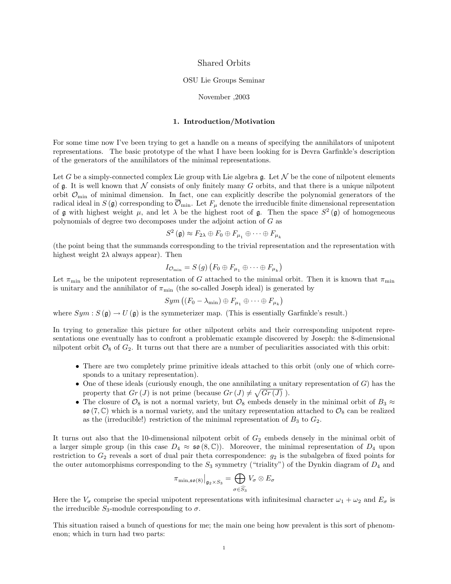# Shared Orbits

#### OSU Lie Groups Seminar

#### November ,2003

## 1. Introduction/Motivation

For some time now I've been trying to get a handle on a means of specifying the annihilators of unipotent representations. The basic prototype of the what I have been looking for is Devra Garfinkle's description of the generators of the annihilators of the minimal representations.

Let G be a simply-connected complex Lie group with Lie algebra  $\mathfrak{g}$ . Let N be the cone of nilpotent elements of  $\mathfrak g$ . It is well known that N consists of only finitely many G orbits, and that there is a unique nilpotent orbit  $\mathcal{O}_{\text{min}}$  of minimal dimension. In fact, one can explicitly describe the polynomial generators of the radical ideal in  $S(\mathfrak{g})$  corresponding to  $\overline{\mathcal{O}}_{\text{min}}$ . Let  $F_\mu$  denote the irreducible finite dimensional representation of g with highest weight  $\mu$ , and let  $\lambda$  be the highest root of g. Then the space  $S^2$  (g) of homogeneous polynomials of degree two decomposes under the adjoint action of G as

$$
S^2(\mathfrak{g}) \approx F_{2\lambda} \oplus F_0 \oplus F_{\mu_1} \oplus \cdots \oplus F_{\mu_k}
$$

(the point being that the summands corresponding to the trivial representation and the representation with highest weight  $2\lambda$  always appear). Then

$$
I_{\mathcal{O}_{\min}} = S(g) (F_0 \oplus F_{\mu_1} \oplus \cdots \oplus F_{\mu_k})
$$

Let  $\pi_{\min}$  be the unipotent representation of G attached to the minimal orbit. Then it is known that  $\pi_{\min}$ is unitary and the annihilator of  $\pi_{\min}$  (the so-called Joseph ideal) is generated by

$$
Sym\left((F_0-\lambda_{\min})\oplus F_{\mu_1}\oplus\cdots\oplus F_{\mu_k}\right)
$$

where  $Sym : S(\mathfrak{g}) \to U(\mathfrak{g})$  is the symmeterizer map. (This is essentially Garfinkle's result.)

In trying to generalize this picture for other nilpotent orbits and their corresponding unipotent representations one eventually has to confront a problematic example discovered by Joseph: the 8-dimensional nilpotent orbit  $\mathcal{O}_8$  of  $G_2$ . It turns out that there are a number of peculiarities associated with this orbit:

- There are two completely prime primitive ideals attached to this orbit (only one of which corresponds to a unitary representation).
- One of these ideals (curiously enough, the one annihilating a unitary representation of  $G$ ) has the property that  $Gr(J)$  is not prime (because  $Gr(J) \neq \sqrt{Gr(J)}$ ).
- The closure of  $\mathcal{O}_8$  is not a normal variety, but  $\mathcal{O}_8$  embeds densely in the minimal orbit of  $B_3 \approx$  $\mathfrak{so}(7,\mathbb{C})$  which is a normal variety, and the unitary representation attached to  $\mathcal{O}_8$  can be realized as the (irreducible!) restriction of the minimal representation of  $B_3$  to  $G_2$ .

It turns out also that the 10-dimensional nilpotent orbit of  $G_2$  embeds densely in the minimal orbit of a larger simple group (in this case  $D_4 \approx \mathfrak{so}(8,\mathbb{C})$ ). Moreover, the minimal representation of  $D_4$  upon restriction to  $G_2$  reveals a sort of dual pair theta correspondence:  $g_2$  is the subalgebra of fixed points for the outer automorphisms corresponding to the  $S_3$  symmetry ("triality") of the Dynkin diagram of  $D_4$  and

$$
\pi_{\min,\mathfrak{so}(8)}\big|_{\mathfrak{g}_2\times S_3}=\bigoplus_{\sigma\in\widehat{S_3}}V_{\sigma}\otimes E_{\sigma}
$$

Here the  $V_{\sigma}$  comprise the special unipotent representations with infinitesimal character  $\omega_1 + \omega_2$  and  $E_{\sigma}$  is the irreducible  $S_3$ -module corresponding to  $\sigma$ .

This situation raised a bunch of questions for me; the main one being how prevalent is this sort of phenomenon; which in turn had two parts: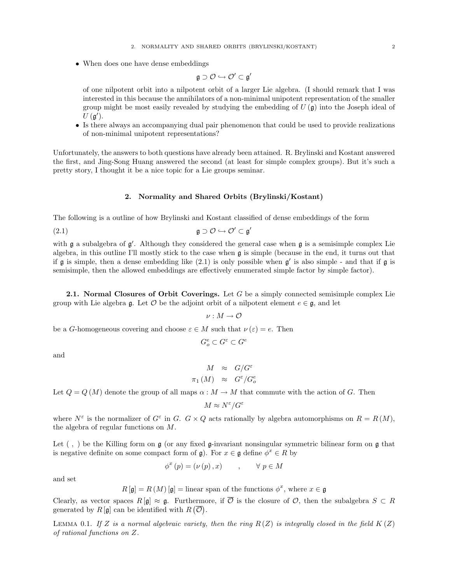• When does one have dense embeddings

$$
\mathfrak{g}\supset\mathcal{O}\hookrightarrow\mathcal{O}'\subset\mathfrak{g}'
$$

of one nilpotent orbit into a nilpotent orbit of a larger Lie algebra. (I should remark that I was interested in this because the annihilators of a non-minimal unipotent representation of the smaller group might be most easily revealed by studying the embedding of  $U(\mathfrak{g})$  into the Joseph ideal of  $U(\mathfrak{g}')$ .

• Is there always an accompanying dual pair phenomenon that could be used to provide realizations of non-minimal unipotent representations?

Unfortunately, the answers to both questions have already been attained. R. Brylinski and Kostant answered the first, and Jing-Song Huang answered the second (at least for simple complex groups). But it's such a pretty story, I thought it be a nice topic for a Lie groups seminar.

## 2. Normality and Shared Orbits (Brylinski/Kostant)

The following is a outline of how Brylinski and Kostant classified of dense embeddings of the form

$$
\mathfrak{g} \supset \mathcal{O} \hookrightarrow \mathcal{O}' \subset \mathfrak{g}'
$$

with  $\mathfrak g$  a subalgebra of  $\mathfrak g'$ . Although they considered the general case when  $\mathfrak g$  is a semisimple complex Lie algebra, in this outline I'll mostly stick to the case when g is simple (because in the end, it turns out that if  $\mathfrak g$  is simple, then a dense embedding like  $(2.1)$  is only possible when  $\mathfrak g'$  is also simple - and that if  $\mathfrak g$  is semisimple, then the allowed embeddings are effectively enumerated simple factor by simple factor).

**2.1.** Normal Closures of Orbit Coverings. Let G be a simply connected semisimple complex Lie group with Lie algebra g. Let  $\mathcal O$  be the adjoint orbit of a nilpotent element  $e \in \mathfrak g$ , and let

$$
\nu:M\to\mathcal{O}
$$

be a G-homogeneous covering and choose  $\varepsilon \in M$  such that  $\nu(\varepsilon) = e$ . Then

$$
G^e_o\subset G^{\varepsilon}\subset G^e
$$

and

$$
M \approx G/G^{\varepsilon}
$$
  

$$
\pi_1(M) \approx G^{\varepsilon}/G_o^e
$$

Let  $Q = Q(M)$  denote the group of all maps  $\alpha : M \to M$  that commute with the action of G. Then

$$
M \approx N^{\varepsilon}/G^{\varepsilon}
$$

where  $N^{\varepsilon}$  is the normalizer of  $G^{\varepsilon}$  in G.  $G \times Q$  acts rationally by algebra automorphisms on  $R = R(M)$ , the algebra of regular functions on M.

Let  $( , )$  be the Killing form on  $\mathfrak g$  (or any fixed  $\mathfrak g$ -invariant nonsingular symmetric bilinear form on  $\mathfrak g$  that is negative definite on some compact form of  $\mathfrak{g}$ ). For  $x \in \mathfrak{g}$  define  $\phi^x \in R$  by

$$
\phi^{x}(p) = (\nu(p), x) \qquad , \qquad \forall \ p \in M
$$

and set

 $R[\mathfrak{g}] = R(M)[\mathfrak{g}] =$  linear span of the functions  $\phi^x$ , where  $x \in \mathfrak{g}$ 

Clearly, as vector spaces  $R[g] \approx g$ . Furthermore, if  $\overline{\mathcal{O}}$  is the closure of  $\mathcal{O}$ , then the subalgebra  $S \subset R$ generated by  $R[\mathfrak{g}]$  can be identified with  $R(\overline{\mathcal{O}})$ .

LEMMA 0.1. If Z is a normal algebraic variety, then the ring  $R(Z)$  is integrally closed in the field  $K(Z)$ of rational functions on Z.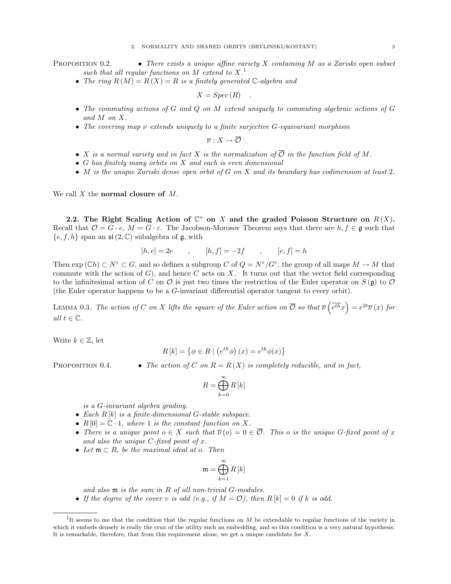#### 2. NORMALITY AND SHARED ORBITS (BRYLINSKI/KOSTANT) 3

**PROPOSITION 0.2.** • There exists a unique affine variety X containing M as a Zariski open subset such that all regular functions on  $M$  extend to  $X$ .<sup>1</sup>

• The ring  $R(M) = R(X) = R$  is a finitely generated C-algebra and

$$
X = Spec(R) .
$$

- The commuting actions of G and Q on M extend uniquely to commuting algebraic actions of G and M on X.
- The covering map  $\nu$  extends uniquely to a finite surjective G-equivariant morphism

$$
\overline{\nu}:X\to\overline{\mathcal{O}}
$$

- X is a normal variety and in fact X is the normalization of  $\overline{\mathcal{O}}$  in the function field of M.
- G has finitely many orbits on  $X$  and each is even dimensional
- M is the unique Zariski dense open orbit of G on X and its boundary has codimension at least 2.

We call  $X$  the normal closure of  $M$ .

2.2. The Right Scaling Action of  $\mathbb{C}^*$  on X and the graded Poisson Structure on  $R(X)$ . Recall that  $\mathcal{O} = G \cdot e$ ,  $M = G \cdot \varepsilon$ . The Jacobson-Morosov Theorem says that there are  $h, f \in \mathfrak{g}$  such that  ${e, f, h}$  span an  $\mathfrak{sl}(2, \mathbb{C})$  subalgebra of  $\mathfrak{g}$ , with

$$
[h, e] = 2e
$$
,  $[h, f] = -2f$ ,  $[e, f] = h$ 

Then  $\exp(\mathbb{C}h) \subset N^{\varepsilon} \subset G$ , and so defines a subgroup C of  $Q = N^{\varepsilon}/G^{\varepsilon}$ , the group of all maps  $M \to M$  that commute with the action of  $G$ ), and hence C acts on X. It turns out that the vector field corresponding to the infinitesimal action of C on  $\mathcal O$  is just two times the restriction of the Euler operator on  $S(\mathfrak g)$  to  $\mathcal O$ (the Euler operator happens to be a G-invariant differential operator tangent to every orbit).

LEMMA 0.3. The action of C on X lifts the square of the Euler action on  $\overline{\mathcal{O}}$  so that  $\overline{\nu}(\overline{e^{th}}x)=e^{2t}\overline{\nu}(x)$  for all  $t \in \mathbb{C}$ .

Write  $k \in \mathbb{Z}$ , let

$$
R[k] = \{ \phi \in R \mid (e^{th}\phi)(x) = e^{tk}\phi(x) \}
$$

**PROPOSITION** 0.4. • The action of C on  $R = R(X)$  is completely reducible, and in fact,

$$
R=\bigoplus_{k=0}^{\infty}R\left[k\right]
$$

is a G-invariant algebra grading.

- Each  $R[k]$  is a finite-dimensional G-stable subspace.
- $R[0] = \mathbb{C} \cdot 1$ , where 1 is the constant function on X.
- There is a unique point  $o \in X$  such that  $\overline{\nu}(o) = 0 \in \overline{\mathcal{O}}$ . This o is the unique G-fixed point of x and also the unique  $C$ -fixed point of  $x$ .
- Let  $\mathfrak{m} \subset R$ , be the maximal ideal at o. Then

$$
\mathfrak{m}=\bigoplus_{k=1}^{\infty}R\left[k\right]
$$

and also  $m$  is the sum in R of all non-trivial G-modules.

• If the degree of the cover v is odd (e.g., if  $M = \mathcal{O}$ ), then  $R[k] = 0$  if k is odd.

<sup>&</sup>lt;sup>1</sup>It seems to me that the condition that the regular functions on  $M$  be extendable to regular functions of the variety in which it embeds densely is really the crux of the utility such an embedding, and so this condition is a very natural hypothesis. It is remarkable, therefore, that from this requirement alone, we get a unique candidate for X.